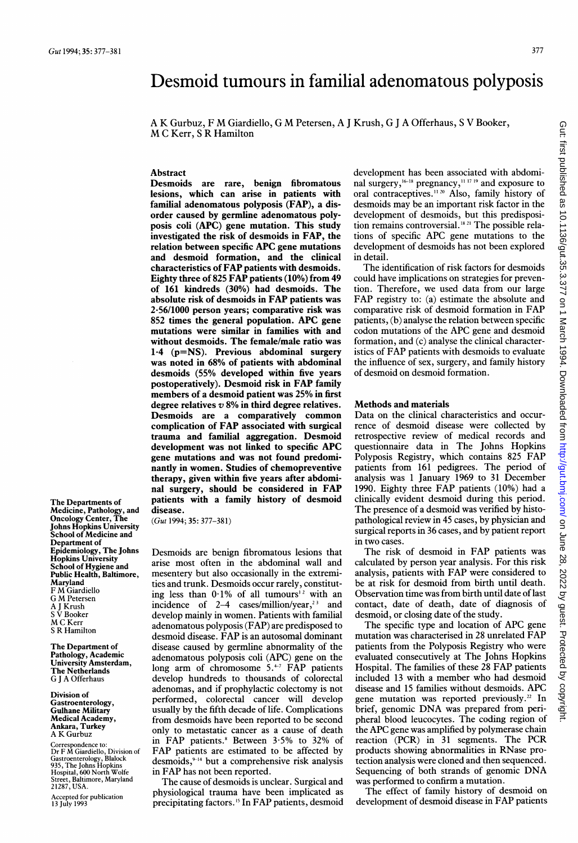# Desmoid tumours in familial adenomatous polyposis

A K Gurbuz, <sup>F</sup> M Giardiello, G M Petersen, A <sup>J</sup> Krush, G <sup>J</sup> A Offerhaus, <sup>S</sup> V Booker, M <sup>C</sup> Kerr, <sup>S</sup> R Hamilton

### **Abstract**

Desmoids are rare, benign fibromatous lesions, which can arise in patients with familial adenomatous polyposis (FAP), a disorder caused by germline adenomatous polyposis coli (APC) gene mutation. This study investigated the risk of desmoids in FAP, the relation between specific APC gene mutations and desmoid formation, and the clinical characteristics of FAP patients with desmoids. Eighty three of 825 FAP patients (10%) from 49 of 161 kindreds (30%) had desmoids. The absolute risk of desmoids in FAP patients was 2-56/1000 person years; comparative risk was 852 times the general population. APC gene mutations were similar in families with and without desmoids. The female/male ratio was  $1.4$  ( $p=NS$ ). Previous abdominal surgery was noted in 68% of patients with abdominal desmoids (55% developed within five years postoperatively). Desmoid risk in FAP family members of a desmoid patient was 25% in first degree relatives  $v$  8% in third degree relatives. Desmoids are a comparatively common complication of FAP associated with surgical trauma and familial aggregation. Desmoid development was not linked to specific APC gene mutations and was not found predominantly in women. Studies of chemopreventive therapy, given within five years after abdominal surgery, should be considered in FAP patients with a family history of desmoid disease.

(Gut 1994; 35: 377-381)

Desmoids are benign fibromatous lesions that arise most often in the abdominal wall and mesentery but also occasionally in the extremities and trunk. Desmoids occur rarely, constituting less than  $0.1\%$  of all tumours<sup>12</sup> with an incidence of  $2-4$  cases/million/year,<sup>23</sup> and develop mainly in women. Patients with familial adenomatous polyposis (FAP) are predisposed to desmoid disease. FAP is an autosomal dominant disease caused by germline abnormality of the adenomatous polyposis coli (APC) gene on the long arm of chromosome  $5.^{+7}$  FAP patients develop hundreds to thousands of colorectal adenomas, and if prophylactic colectomy is not performed, colorectal cancer will develop usually by the fifth decade of life. Complications from desmoids have been reported to be second only to metastatic cancer as a cause of death in FAP patients.<sup>8</sup> Between 3.5% to 32% of FAP patients are estimated to be affected by desmoids, $9-14$  but a comprehensive risk analysis in FAP has not been reported.

The cause of desmoids is unclear. Surgical and physiological trauma have been implicated as precipitating factors.<sup>15</sup> In FAP patients, desmoid

development has been associated with abdominal surgery,  $^{16-18}$  pregnancy,  $^{1117}$  19 and exposure to oral contraceptives.<sup>11 20</sup> Also, family history of desmoids may be an important risk factor in the development of desmoids, but this predisposition remains controversial.<sup>18.21</sup> The possible relations of specific APC gene mutations to the development of desmoids has not been explored in detail.

The identification of risk factors for desmoids could have implications on strategies for prevention. Therefore, we used data from our large FAP registry to: (a) estimate the absolute and comparative risk of desmoid formation in FAP patients, (b) analyse the relation between specific codon mutations of the APC gene and desmoid formation, and (c) analyse the clinical characteristics of FAP patients with desmoids to evaluate the influence of sex, surgery, and family history of desmoid on desmoid formation.

#### Methods and materials

Data on the clinical characteristics and occurrence of desmoid disease were collected by retrospective review of medical records and questionnaire data in The Johns Hopkins Polyposis Registry, which contains 825 FAP patients from 161 pedigrees. The period of analysis was <sup>1</sup> January 1969 to 31 December 1990. Eighty three FAP patients (10%) had <sup>a</sup> clinically evident desmoid during this period. The presence of a desmoid was verified by histopathological review in 45 cases, by physician and surgical reports in 36 cases, and by patient report in two cases.

The risk of desmoid in FAP patients was calculated by person year analysis. For this risk analysis, patients with FAP were considered to be at risk for desmoid from birth until death. Observation time was from birth until date of last contact, date of death, date of diagnosis of desmoid, or closing date of the study.

The specific type and location of APC gene mutation was characterised in 28 unrelated FAP patients from the Polyposis Registry who were evaluated consecutively at The Johns Hopkins Hospital. The families of these 28 FAP patients included <sup>13</sup> with <sup>a</sup> member who had desmoid disease and <sup>15</sup> families without desmoids. APC gene mutation was reported previously.<sup>22</sup> In brief, genomic DNA was prepared from peripheral blood leucocytes. The coding region of the APC gene was amplified by polymerase chain reaction (PCR) in <sup>31</sup> segments. The PCR products showing abnormalities in RNase protection analysis were cloned and then sequenced. Sequencing of both strands of genomic DNA was performed to confirm a mutation.

The effect of family history of desmoid on development of desmoid disease in FAP patients

The Departments of Medicine, Pathology, and Oncology Center, The Johns Hopkins University School of Medicine and Department of Epidemiology, The Johns Hopkins University School of Hygiene and Public Health, Baltimore, Maryland <sup>F</sup> M Giardiello G M Petersen A <sup>J</sup> Krush <sup>S</sup> V Booker M C Kerr <sup>S</sup> R Hamilton

The Department of Pathology, Academic University Amsterdam, The Netherlands G <sup>J</sup> A Offerhaus

Division of Gastroenterology, Gulhane Military Medical Academy, Ankara, Turkey A K Gurbuz

Correspondence to: Dr F M Giardiello, Division of Gastroenterology, Blalock 935, The Johns Hopkins Hospital, 600 North Wolfe Street, Baltimore, Maryland 21287, USA.

Accepted for publication 13 July 1993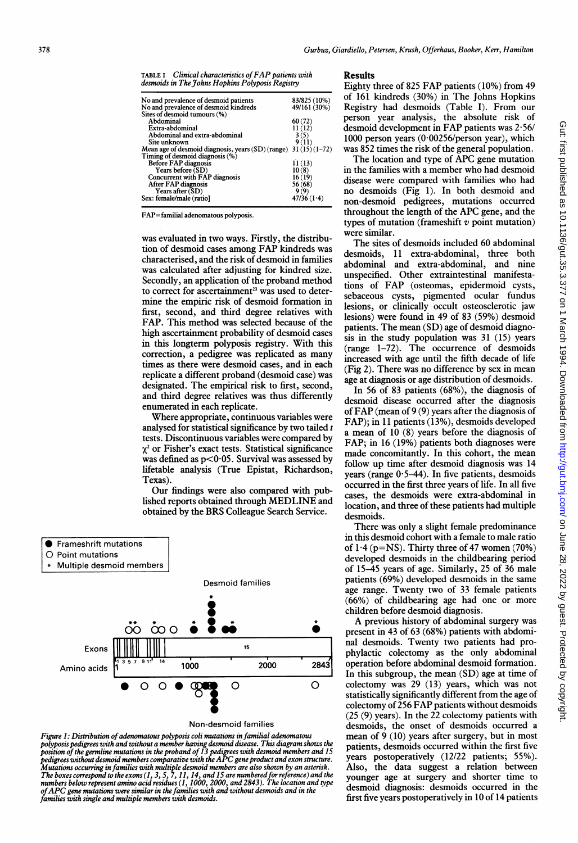| <b>TABLE I</b> | Clinical characteristics of FAP patients with    |
|----------------|--------------------------------------------------|
|                | desmoids in The Johns Hopkins Polyposis Registry |

| No and prevalence of desmoid patients                             | 83/825 (10%) |
|-------------------------------------------------------------------|--------------|
| No and prevalence of desmoid kindreds                             | 49/161 (30%) |
| Sites of desmoid tumours (%)                                      |              |
| Abdominal                                                         | 60(72)       |
| Extra-abdominal                                                   | 11(12)       |
| Abdominal and extra-abdominal                                     | 3(5)         |
| Site unknown                                                      | 9(11)        |
| Mean age of desmoid diagnosis, years $(SD)(range)$ 31 (15) (1-72) |              |
| Timing of desmoid diagnosis (%)                                   |              |
| <b>Before FAP diagnosis</b>                                       | 11(13)       |
| Years before (SD)                                                 | 10(8)        |
| <b>Concurrent with FAP diagnosis</b>                              | 16(19)       |
| After FAP diagnosis                                               | 56(68)       |
| Years after (SD)                                                  | 9(9)         |
| Sex: female/male (ratiol                                          | 47/36(1.4)   |
|                                                                   |              |

FAP=familial adenomatous polyposis.

was evaluated in two ways. Firstly, the distribution of desmoid cases among FAP kindreds was characterised, and the risk of desmoid in families was calculated after adjusting for kindred size. Secondly, an application of the proband method to correct for ascertainment<sup>23</sup> was used to determine the empiric risk of desmoid formation in first, second, and third degree relatives with FAP. This method was selected because of the high ascertainment probability of desmoid cases in this longterm polyposis registry. With this correction, a pedigree was replicated as many times as there were desmoid cases, and in each replicate a different proband (desmoid case) was designated. The empirical risk to first, second, and third degree relatives was thus differently enumerated in each replicate.

Where appropriate, continuous variables were analysed for statistical significance by two tailed  $t$ tests. Discontinuous variables were compared by  $\chi^2$  or Fisher's exact tests. Statistical significance was defined as  $p<0.05$ . Survival was assessed by lifetable analysis (True Epistat, Richardson, Texas).

Our findings were also compared with published reports obtained through MEDLINE and obtained by the BRS Colleague Search Service.



Non-desmoid families

Figure 1: Distribution of adenomatous polyposis coli mutations in familial adenomatous polyposis pedigrees with and without a member having desmoid disease. This diagram shows the<br>position of the germline mutations in the proband of 13 pedigrees with desmoid members and 15<br>pedigrees without desmoid members c Mutations occurring in families with multiple desmoid members are also shown by an asterisk.<br>The boxes correspond to the exons (1, 3, 5, 7, 11, 14, and 15 are numbered for reference) and the<br>numbers below represent amino a families with single and multiple members with desmoids.

## Results

Eighty three of 825 FAP patients (10%) from 49 of 161 kindreds (30%) in The Johns Hopkins Registry had desmoids (Table I). From our person year analysis, the absolute risk of desmoid development in FAP patients was 2.56/ 1000 person years (0\*00256/person year), which was 852 times the risk of the general population.

The location and type of APC gene mutation in the families with <sup>a</sup> member who had desmoid disease were compared with families who had no desmoids (Fig 1). In both desmoid and non-desmoid pedigrees, mutations occurred throughout the length of the APC gene, and the types of mutation (frameshift  $v$  point mutation) were sinilar.

The sites of desmoids included 60 abdominal desmoids, 11 extra-abdominal, three both abdominal and extra-abdominal, and nine unspecified. Other extraintestinal manifestations of FAP (osteomas, epidermoid cysts, sebaceous cysts, pigmented ocular fundus lesions, or clinically occult osteosclerotic jaw lesions) were found in 49 of 83 (59%) desmoid patients. The mean (SD) age of desmoid diagnosis in the study population was 31 (15) years (range 1-72). The occurrence of desmoids increased with age until the fifth decade of life (Fig 2). There was no difference by sex in mean age at diagnosis or age distribution of desmoids.

In 56 of 83 patients (68%), the diagnosis of desmoid disease occurred after the diagnosis of FAP (mean of 9 (9) years after the diagnosis of FAP); in 11 patients (13%), desmoids developed a mean of 10 (8) years before the diagnosis of FAP; in 16 (19%) patients both diagnoses were made concomitantly. In this cohort, the mean follow up time after desmoid diagnosis was 14 years (range  $0.5-44$ ). In five patients, desmoids occurred in the first three years of life. In all five cases, the desmoids were extra-abdominal in location, and three of these patients had multiple desmoids.

There was only a slight female predominance in this desmoid cohort with a female to male ratio of  $1.4$  (p=NS). Thirty three of 47 women (70%) developed desmoids in the childbearing period of 15-45 years of age. Similarly, 25 of 36 male patients (69%) developed desmoids in the same age range. Twenty two of 33 female patients (66%) of childbearing age had one or more children before desmoid diagnosis.

A previous history of abdominal surgery was present in 43 of 63 (68%) patients with abdominal desmoids. Twenty two patients had prophylactic colectomy as the only abdominal operation before abdominal desmoid formation. In this subgroup, the mean (SD) age at time of colectomy was 29 (13) years, which was not statistically significantly different from the age of colectomy of 256 FAP patients without desmoids (25 (9) years). In the 22 colectomy patients with desmoids, the onset of desmoids occurred a mean of 9 (10) years after surgery, but in most patients, desmoids occurred within the first five years postoperatively (12/22 patients; 55%). Also, the data suggest a relation between younger age at surgery and shorter time to desmoid diagnosis: desmoids occurred in the first five years postoperatively in 10 of 14 patients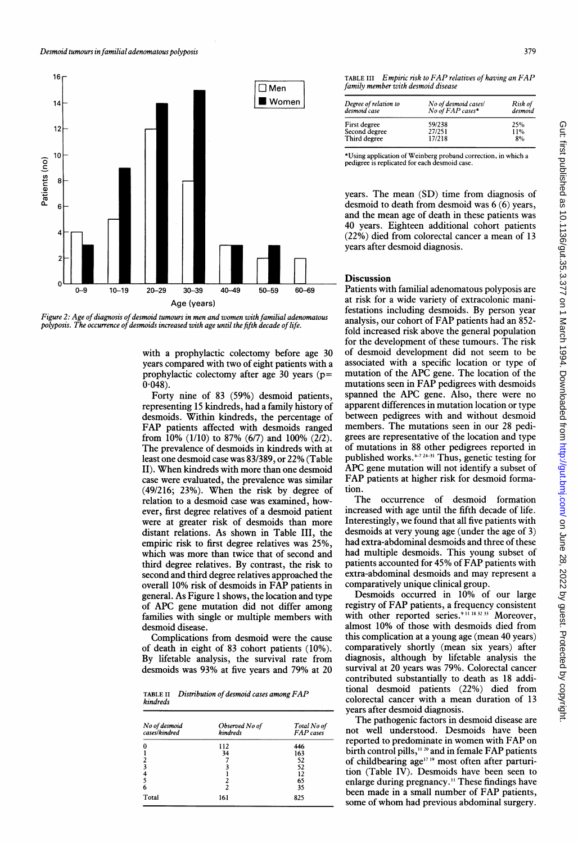



with a prophylactic colectomy before age 30 years compared with two of eight patients with a prophylactic colectomy after age 30 years (p=  $0.048$ ).

Forty nine of 83 (59%) desmoid patients, representing 15 kindreds, had a family history of desmoids. Within kindreds, the percentage of FAP patients affected with desmoids ranged from 10% (1/10) to 87% (6/7) and 100% (2/2). The prevalence of desmoids in kindreds with at least one desmoid case was 83/389, or 22% (Table II). When kindreds with more than one desmoid case were evaluated, the prevalence was similar (49/216; 23%). When the risk by degree of relation to a desmoid case was examined, however, first degree relatives of a desmoid patient were at greater risk of desmoids than more distant relations. As shown in Table III, the empiric risk to first degree relatives was 25%, which was more than twice that of second and third degree relatives. By contrast, the risk to second and third degree relatives approached the overall 10% risk of desmoids in FAP patients in general. As Figure <sup>1</sup> shows, the location and type of APC gene mutation did not differ among families with single or multiple members with desmoid disease.

Complications from desmoid were the cause of death in eight of 83 cohort patients (10%). By lifetable analysis, the survival rate from desmoids was 93% at five years and 79% at 20

TABLE II Distribution of desmoid cases among FAP kindreds

| No of desmoid<br>cases/kindred | Observed No of<br>kindreds | Total No of<br><b>FAP</b> cases |  |
|--------------------------------|----------------------------|---------------------------------|--|
|                                | 112                        | 446                             |  |
|                                | 34                         | 163                             |  |
|                                |                            | 52                              |  |
|                                |                            | 52                              |  |
|                                |                            | 12                              |  |
|                                |                            | 65                              |  |
| 6                              |                            | 35                              |  |
| Total                          | 161                        | 825                             |  |

379

TABLE III Empiric risk to FAP relatives of having an FAP family member with desmoid disease

| Degree of relation to<br>desmoid case | No of desmoid cases/<br>No of FAP cases* | Risk of<br>desmoid |  |
|---------------------------------------|------------------------------------------|--------------------|--|
| First degree                          | 59/238                                   | 25%                |  |
| Second degree                         | 27/251                                   | 11%                |  |
| Third degree                          | 17/218                                   | 8%                 |  |
|                                       |                                          |                    |  |

\*Using application of Weinberg proband correction, in which a pedigree is replicated for each desmoid case.

years. The mean (SD) time from diagnosis of desmoid to death from desmoid was 6 (6) years, and the mean age of death in these patients was 40 years. Eighteen additional cohort patients (22%) died from colorectal cancer a mean of 13 years after desmoid diagnosis.

## **Discussion**

Patients with familial adenomatous polyposis are at risk for a wide variety of extracolonic manifestations including desmoids. By person year analysis, our cohort of FAP patients had an 852 fold increased risk above the general population for the development of these tumours. The risk of desmoid development did not seem to be associated with a specific location or type of mutation of the APC gene. The location of the mutations seen in FAP pedigrees with desmoids spanned the APC gene. Also, there were no apparent differences in mutation location or type between pedigrees with and without desmoid members. The mutations seen in our 28 pedigrees are representative of the location and type of mutations in 88 other pedigrees reported in published works. $+72+31$  Thus, genetic testing for APC gene mutation will not identify <sup>a</sup> subset of FAP patients at higher risk for desmoid formation.

The occurrence of desmoid formation increased with age until the fifth decade of life. Interestingly, we found that all five patients with desmoids at very young age (under the age of 3) had extra-abdominal desmoids and three of these had multiple desmoids. This young subset of patients accounted for 45% of FAP patients with extra-abdominal desmoids and may represent a comparatively unique clinical group.

Desmoids occurred in 10% of our large registry of FAP patients, <sup>a</sup> frequency consistent with other reported series.<sup>911 18 32 33</sup> Moreover, almost 10% of those with desmoids died from this complication at a young age (mean 40 years) comparatively shortly (mean six years) after diagnosis, although by lifetable analysis the survival at 20 years was 79%. Colorectal cancer contributed substantially to death as 18 additional desmoid patients (22%) died from colorectal cancer with a mean duration of 13 years after desmoid diagnosis.

The pathogenic factors in desmoid disease are not well understood. Desmoids have been reported to predominate in women with FAP on birth control pills,<sup>11, 20</sup> and in female FAP patients of childbearing age<sup>17 19</sup> most often after parturition (Table IV). Desmoids have been seen to enlarge during pregnancy." These findings have been made in <sup>a</sup> small number of FAP patients, some of whom had previous abdominal surgery.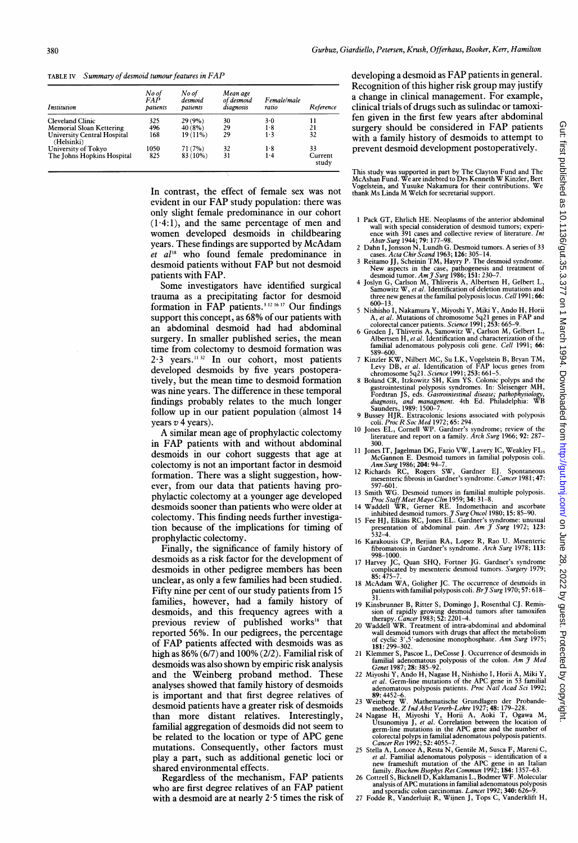TABLE IV Summary of desmoid tumour features in FAP

| Institution                               | No of<br><i>FAP</i><br>patients | No of<br>desmoid<br>patients | Mean age<br>of desmoid<br>diagnosis | Female/male<br>ratio | Reference        |
|-------------------------------------------|---------------------------------|------------------------------|-------------------------------------|----------------------|------------------|
| <b>Cleveland Clinic</b>                   | 325                             | 29(9%)                       | 30                                  | 3.0                  | 11               |
| <b>Memorial Sloan Kettering</b>           | 496                             | 40(8%)                       | 29                                  | 1.8                  | 21               |
| University Central Hospital<br>(Helsinki) | 168                             | $19(11\%)$                   | 29                                  | $1-3$                | 32               |
| University of Tokyo                       | 1050                            | 71(7%)                       | 32                                  | 1.8                  | 33               |
| The Johns Hopkins Hospital                | 825                             | 83 (10%)                     | 31                                  | $1-4$                | Current<br>study |

In contrast, the effect of female sex was not evident in our FAP study population: there was only slight female predominance in our cohort  $(1.4:1)$ , and the same percentage of men and women developed desmoids in childbearing years. These findings are supported by McAdam et al'8 who found female predominance in desmoid patients without FAP but not desmoid patients with FAP.

Some investigators have identified surgical trauma as a precipitating factor for desmoid formation in  $FAP$  patients.<sup>3121617</sup> Our findings support this concept, as 68% of our patients with an abdominal desmoid had had abdominal surgery. In smaller published series, the mean time from colectomy to desmoid formation was  $2.3$  years.<sup>11.32</sup> In our cohort, most patients developed desmoids by five years postoperatively, but the mean time to desmoid formation was nine years. The difference in these temporal findings probably relates to the much longer follow up in our patient population (almost 14 years  $v$  4 years).

A similar mean age of prophylactic colectomy in FAP patients with and without abdominal desmoids in our cohort suggests that age at colectomy is not an important factor in desmoid formation. There was a slight suggestion, however, from our data that patients having prophylactic colectomy at a younger age developed desmoids sooner than patients who were older at colectomy. This finding needs further investigation because of the implications for timing of prophylactic colectomy.

Finally, the significance of family history of desmoids as a risk factor for the development of desmoids in other pedigree members has been unclear, as only a few families had been studied. Fifty nine per cent of our study patients from 15 families, however, had a family history of desmoids, and this frequency agrees with a previous review of published works<sup>18</sup> that reported 56%. In our pedigrees, the percentage of FAP patients affected with desmoids was as high as 86% (6/7) and 100% (2/2). Familial risk of desmoids was also shown by empiric risk analysis and the Weinberg proband method. These analyses showed that family history of desmoids is important and that first degree relatives of desmoid patients have a greater risk of desmoids than more distant relatives. Interestingly, familial aggregation of desmoids did not seem to be related to the location or type of APC gene mutations. Consequently, other factors must play a part, such as additional genetic loci or shared environmental effects.

Regardless of the mechanism, FAP patients who are first degree relatives of an FAP patient with a desmoid are at nearly  $2.5$  times the risk of

developing <sup>a</sup> desmoid as FAP patients in general. Recognition of this higher risk group may justify a change in clinical management. For example, clinical trials of drugs such as sulindac or tamoxifen given in the first few years after abdominal surgery should be considered in FAP patients with a family history of desmoids to attempt to prevent desmoid development postoperatively.

This study was supported in part by The Clayton Fund and The<br>McAshan Fund. We are indebted to Drs Kenneth W Kinzler, Bert<br>Vogelstein, and Yusuke Nakamura for their contributions. We<br>thank Ms Linda M Welch for secretarial s

- 
- 
- 
- 1 Pack GT, Ehrlich HE. Neoplasms of the anterior abdominal<br>wall with special consideration of desmoid tumors; experi-<br>ence with 391 cases and collective review of literature. *Int*<br>Abstr Surg 1944; 79: 177–98.<br>2 Dahn I, J
- <sup>5</sup> Nishisho I, Nakamura Y, Miyoshi Y, Miki Y, Ando H, Horii
- A, et al. Mutations of chromosome 5q21 genes in FAP and<br>colorectal cancer patients. Science 1991; 253: 665–9.<br>6 Groden J, Thliveris A, Samowitz W, Carlson M, Gelbert L,<br>Albertsen H, et al. Identification and characterizat familial adenomatous polyposis coli gene. Cell 1991; 66:<br>589–600.
- 
- S89-600.<br>THE KIND EXERV, Nilbert MC, Su LK, Vogelstein B, Bryan TM,<br>Levy DB, et al. Identification of FAP locus genes from<br>chromosome 5q21. Science 1991; 253: 661-5.<br>B Boland CR, Itzkowitz SH, Kim YS. Colonic polyps and th
- 
- 9 Bussey HJR. Extracolonic lesions associated with polyposis coli. *Proc R Soc Med 1972*; 65: 294.<br>10 Jones EL, Cornell WP. Gardner's syndrome; review of the literature and report on a family. *Arch Surg* 1966; 92: 287–
- 300. <sup>11</sup> Jones IT, Jagelman DG, Fazio VW, Lavery IC, Weakley FL,
- McGannon E. Desmoid tumors in familial polyposis coli.<br>
Ann Surg 1986; 204: 94-7.<br>
12 Richards RC, Rogers SW, Gardner EJ. Spontaneous<br>
mesenteric fibrosis in Gardner's syndrome. *Cancer* 1981; 47:<br>
597–601.
- <sup>13</sup> Smith WG. Desmoid tumors in familial multiple polyposis.
- 
- *Proc Staff Meet Mayo Clin* 1959; 34: 31–8.<br>14 Waddell WR, Gerner RE. Indonethacin and ascorbate<br>inhibited desmoid tumors. *J Surg Oncol* 1980; 15: 85–90.<br>15 Fee HJ, Elkins RC, Jones EL. Gardner's syndrome: unusual<br>present
- 16 Karakousis CP, Berjian RA, Lopez R, Rao U. Mesenteric fibromatosis in Gardner's syndrome. Arch Surg 1978; 113:<br>1998–1000
- 998-1000. 17 Harvey JC, Quan SHQ, Fortner JG. Gardner's syndrome complicated by mesenteric desmoid tumors. Surgery 1979; 85: 475-7. <sup>18</sup> McAdam WA, Goligher JC. The occurrence of desmoids in
- **Example 19**  $\mu$  4.5, conguer JC. 1 ne occurrence of desmoids in patients with familial polyposis coli. Br  $\tilde{\jmath}$  Surg 1970; 57: 618-31.
- 
- 19 Kinsbrunner B, Ritter S, Domingo J, Rosenthal CJ. Remission of rapidly growing desmoid tumors after tamoxifen<br>therapy. *Cancer* 1983; 52: 2201–4.<br>20 Waddell WR. Treatment of intra-abdominal and abdominal<br>wall desmoid t
- 21 Klemmer S, Pascoe L, DeCosse J. Occurrence of desmoids in familial adenomatous polyposis of the colon. Am J Med Genet 1987; 28: 385–92.
- 22 Miyoshi Y, Ando H, Nagase H, Nishisho I, Horii A, Miki Y,<br>et al. Germ-line mutations of the APC gene in 53 familial<br>adenomatous polyposis patients. *Proc Natl Acad Sci* 1992;
- 
- 89: 4452-6.<br>
23 Weinberg W. Mathematische Grundlagen der Probandemethode. Z Ind Abst Vererb-Lehre 1927; 48: 179–228.<br>
24 Nagase H, Miyoshi Y, Horii A, Aoki T, Ogawa M, Utsunomiya J, et al. Correlation between the location colorectal polyps in familial adenomatous polyposis patients.<br>*Cancer Res* 1992; 52: 4055–7.
- 25 Stella A, Lonoce A, Resta N, Gentile M, Susca F, Mareni C,<br> *et al.* Familial adenomatous polyposis identification of a<br>
new frameshift mutation of the APC gene in an Italian<br>
new frameshift mutation of the APC gene
- 
-